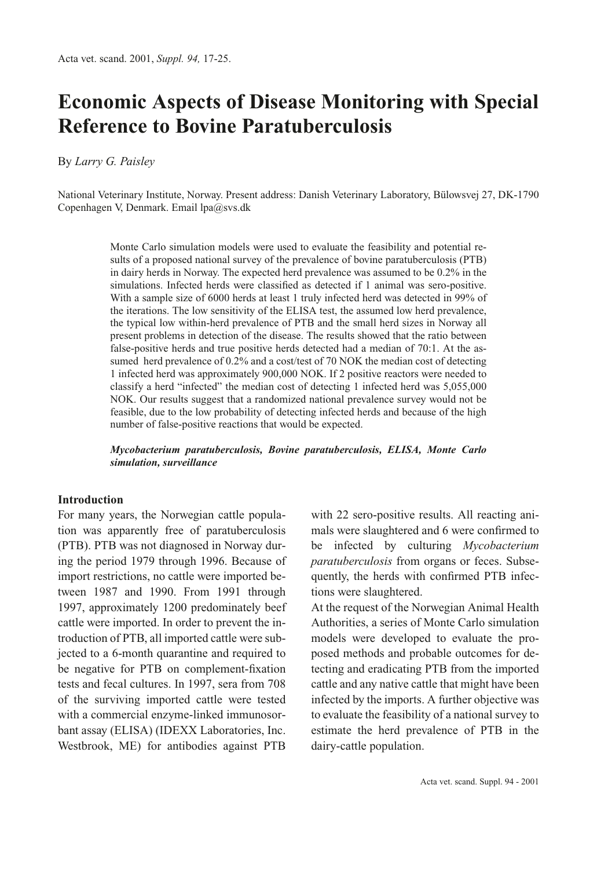# **Economic Aspects of Disease Monitoring with Special Reference to Bovine Paratuberculosis**

By *Larry G. Paisley*

National Veterinary Institute, Norway. Present address: Danish Veterinary Laboratory, Bülowsvej 27, DK-1790 Copenhagen V, Denmark. Email lpa@svs.dk

> Monte Carlo simulation models were used to evaluate the feasibility and potential results of a proposed national survey of the prevalence of bovine paratuberculosis (PTB) in dairy herds in Norway. The expected herd prevalence was assumed to be 0.2% in the simulations. Infected herds were classified as detected if 1 animal was sero-positive. With a sample size of 6000 herds at least 1 truly infected herd was detected in 99% of the iterations. The low sensitivity of the ELISA test, the assumed low herd prevalence, the typical low within-herd prevalence of PTB and the small herd sizes in Norway all present problems in detection of the disease. The results showed that the ratio between false-positive herds and true positive herds detected had a median of 70:1. At the assumed herd prevalence of 0.2% and a cost/test of 70 NOK the median cost of detecting 1 infected herd was approximately 900,000 NOK. If 2 positive reactors were needed to classify a herd "infected" the median cost of detecting 1 infected herd was 5,055,000 NOK. Our results suggest that a randomized national prevalence survey would not be feasible, due to the low probability of detecting infected herds and because of the high number of false-positive reactions that would be expected.

> *Mycobacterium paratuberculosis, Bovine paratuberculosis, ELISA, Monte Carlo simulation, surveillance*

# **Introduction**

For many years, the Norwegian cattle population was apparently free of paratuberculosis (PTB). PTB was not diagnosed in Norway during the period 1979 through 1996. Because of import restrictions, no cattle were imported between 1987 and 1990. From 1991 through 1997, approximately 1200 predominately beef cattle were imported. In order to prevent the introduction of PTB, all imported cattle were subjected to a 6-month quarantine and required to be negative for PTB on complement-fixation tests and fecal cultures. In 1997, sera from 708 of the surviving imported cattle were tested with a commercial enzyme-linked immunosorbant assay (ELISA) (IDEXX Laboratories, Inc. Westbrook, ME) for antibodies against PTB with 22 sero-positive results. All reacting animals were slaughtered and 6 were confirmed to be infected by culturing *Mycobacterium paratuberculosis* from organs or feces. Subsequently, the herds with confirmed PTB infections were slaughtered.

At the request of the Norwegian Animal Health Authorities, a series of Monte Carlo simulation models were developed to evaluate the proposed methods and probable outcomes for detecting and eradicating PTB from the imported cattle and any native cattle that might have been infected by the imports. A further objective was to evaluate the feasibility of a national survey to estimate the herd prevalence of PTB in the dairy-cattle population.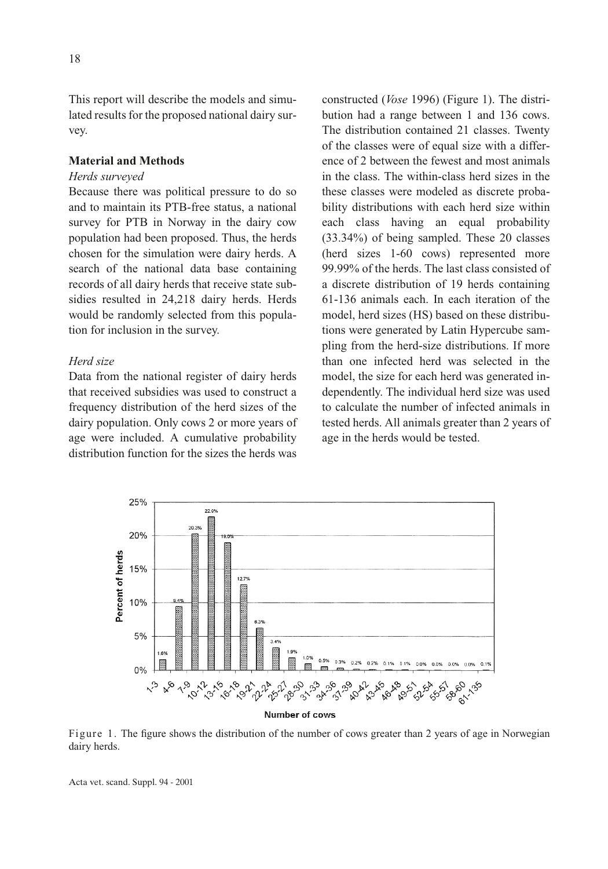This report will describe the models and simulated results for the proposed national dairy survey.

# **Material and Methods**

#### *Herds surveyed*

Because there was political pressure to do so and to maintain its PTB-free status, a national survey for PTB in Norway in the dairy cow population had been proposed. Thus, the herds chosen for the simulation were dairy herds. A search of the national data base containing records of all dairy herds that receive state subsidies resulted in 24,218 dairy herds. Herds would be randomly selected from this population for inclusion in the survey.

# *Herd size*

Data from the national register of dairy herds that received subsidies was used to construct a frequency distribution of the herd sizes of the dairy population. Only cows 2 or more years of age were included. A cumulative probability distribution function for the sizes the herds was

constructed (*Vose* 1996) (Figure 1). The distribution had a range between 1 and 136 cows. The distribution contained 21 classes. Twenty of the classes were of equal size with a difference of 2 between the fewest and most animals in the class. The within-class herd sizes in the these classes were modeled as discrete probability distributions with each herd size within each class having an equal probability (33.34%) of being sampled. These 20 classes (herd sizes 1-60 cows) represented more 99.99% of the herds. The last class consisted of a discrete distribution of 19 herds containing 61-136 animals each. In each iteration of the model, herd sizes (HS) based on these distributions were generated by Latin Hypercube sampling from the herd-size distributions. If more than one infected herd was selected in the model, the size for each herd was generated independently. The individual herd size was used to calculate the number of infected animals in tested herds. All animals greater than 2 years of age in the herds would be tested.



Figure 1. The figure shows the distribution of the number of cows greater than 2 years of age in Norwegian dairy herds.

Acta vet. scand. Suppl. 94 - 2001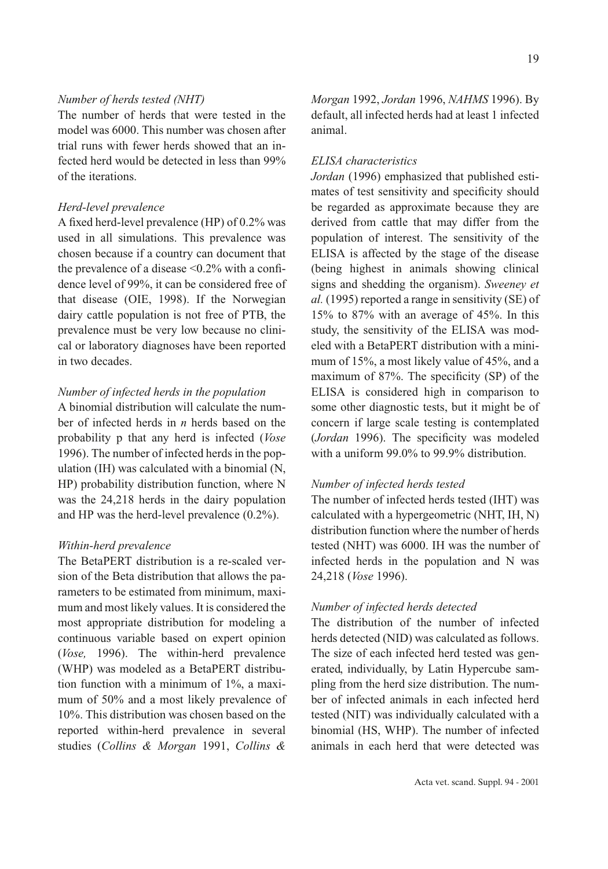# *Number of herds tested (NHT)*

The number of herds that were tested in the model was 6000. This number was chosen after trial runs with fewer herds showed that an infected herd would be detected in less than 99% of the iterations.

# *Herd-level prevalence*

A fixed herd-level prevalence (HP) of 0.2% was used in all simulations. This prevalence was chosen because if a country can document that the prevalence of a disease <0.2% with a confidence level of 99%, it can be considered free of that disease (OIE, 1998). If the Norwegian dairy cattle population is not free of PTB, the prevalence must be very low because no clinical or laboratory diagnoses have been reported in two decades.

# *Number of infected herds in the population*

A binomial distribution will calculate the number of infected herds in *n* herds based on the probability p that any herd is infected (*Vose* 1996). The number of infected herds in the population (IH) was calculated with a binomial (N, HP) probability distribution function, where N was the 24,218 herds in the dairy population and HP was the herd-level prevalence (0.2%).

### *Within-herd prevalence*

The BetaPERT distribution is a re-scaled version of the Beta distribution that allows the parameters to be estimated from minimum, maximum and most likely values. It is considered the most appropriate distribution for modeling a continuous variable based on expert opinion (*Vose,* 1996). The within-herd prevalence (WHP) was modeled as a BetaPERT distribution function with a minimum of 1%, a maximum of 50% and a most likely prevalence of 10%. This distribution was chosen based on the reported within-herd prevalence in several studies (*Collins & Morgan* 1991, *Collins &*

*Morgan* 1992, *Jordan* 1996, *NAHMS* 1996). By default, all infected herds had at least 1 infected animal.

# *ELISA characteristics*

*Jordan* (1996) emphasized that published estimates of test sensitivity and specificity should be regarded as approximate because they are derived from cattle that may differ from the population of interest. The sensitivity of the ELISA is affected by the stage of the disease (being highest in animals showing clinical signs and shedding the organism). *Sweeney et al.* (1995) reported a range in sensitivity (SE) of 15% to 87% with an average of 45%. In this study, the sensitivity of the ELISA was modeled with a BetaPERT distribution with a minimum of 15%, a most likely value of 45%, and a maximum of 87%. The specificity (SP) of the ELISA is considered high in comparison to some other diagnostic tests, but it might be of concern if large scale testing is contemplated (*Jordan* 1996). The specificity was modeled with a uniform 99.0% to 99.9% distribution.

# *Number of infected herds tested*

The number of infected herds tested (IHT) was calculated with a hypergeometric (NHT, IH, N) distribution function where the number of herds tested (NHT) was 6000. IH was the number of infected herds in the population and N was 24,218 (*Vose* 1996).

# *Number of infected herds detected*

The distribution of the number of infected herds detected (NID) was calculated as follows. The size of each infected herd tested was generated, individually, by Latin Hypercube sampling from the herd size distribution. The number of infected animals in each infected herd tested (NIT) was individually calculated with a binomial (HS, WHP). The number of infected animals in each herd that were detected was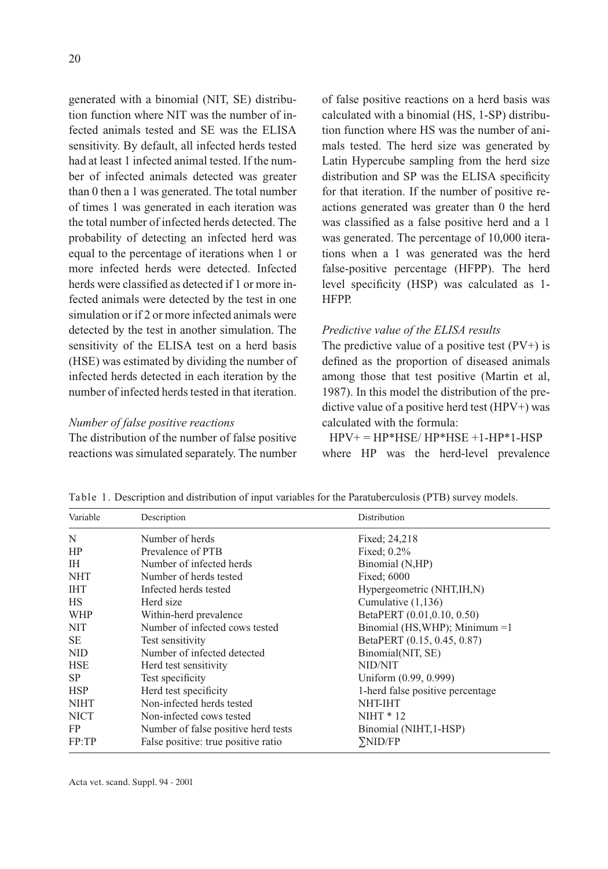generated with a binomial (NIT, SE) distribution function where NIT was the number of infected animals tested and SE was the ELISA sensitivity. By default, all infected herds tested had at least 1 infected animal tested. If the number of infected animals detected was greater than 0 then a 1 was generated. The total number of times 1 was generated in each iteration was the total number of infected herds detected. The probability of detecting an infected herd was equal to the percentage of iterations when 1 or more infected herds were detected. Infected herds were classified as detected if 1 or more infected animals were detected by the test in one simulation or if 2 or more infected animals were detected by the test in another simulation. The sensitivity of the ELISA test on a herd basis (HSE) was estimated by dividing the number of infected herds detected in each iteration by the number of infected herds tested in that iteration.

#### *Number of false positive reactions*

The distribution of the number of false positive reactions was simulated separately. The number of false positive reactions on a herd basis was calculated with a binomial (HS, 1-SP) distribution function where HS was the number of animals tested. The herd size was generated by Latin Hypercube sampling from the herd size distribution and SP was the ELISA specificity for that iteration. If the number of positive reactions generated was greater than 0 the herd was classified as a false positive herd and a 1 was generated. The percentage of 10,000 iterations when a 1 was generated was the herd false-positive percentage (HFPP). The herd level specificity (HSP) was calculated as 1- HFPP.

#### *Predictive value of the ELISA results*

The predictive value of a positive test  $(PV+)$  is defined as the proportion of diseased animals among those that test positive (Martin et al, 1987). In this model the distribution of the predictive value of a positive herd test (HPV+) was calculated with the formula:

# $HPV+=HP*HSE/HP*HSE+1-HP*1-HSP$ where HP was the herd-level prevalence

| Variable    | Description                         | Distribution                     |
|-------------|-------------------------------------|----------------------------------|
| N           | Number of herds                     | Fixed; 24,218                    |
| HP          | Prevalence of PTB                   | Fixed; $0.2\%$                   |
| <b>IH</b>   | Number of infected herds            | Binomial (N,HP)                  |
| NHT         | Number of herds tested              | Fixed; 6000                      |
| <b>IHT</b>  | Infected herds tested               | Hypergeometric (NHT, IH, N)      |
| HS          | Herd size                           | Cumulative $(1,136)$             |
| WHP         | Within-herd prevalence              | BetaPERT (0.01,0.10, 0.50)       |
| <b>NIT</b>  | Number of infected cows tested      | Binomial (HS, WHP); Minimum =1   |
| <b>SE</b>   | Test sensitivity                    | BetaPERT (0.15, 0.45, 0.87)      |
| NID.        | Number of infected detected         | Binomial(NIT, SE)                |
| <b>HSE</b>  | Herd test sensitivity               | NID/NIT                          |
| SP.         | Test specificity                    | Uniform (0.99, 0.999)            |
| <b>HSP</b>  | Herd test specificity               | 1-herd false positive percentage |
| <b>NIHT</b> | Non-infected herds tested           | <b>NHT-IHT</b>                   |
| <b>NICT</b> | Non-infected cows tested            | $NIHT * 12$                      |
| FP          | Number of false positive herd tests | Binomial (NIHT, 1-HSP)           |
| FP:TP       | False positive: true positive ratio | <b>SNID/FP</b>                   |

Table 1. Description and distribution of input variables for the Paratuberculosis (PTB) survey models.

Acta vet. scand. Suppl. 94 - 2001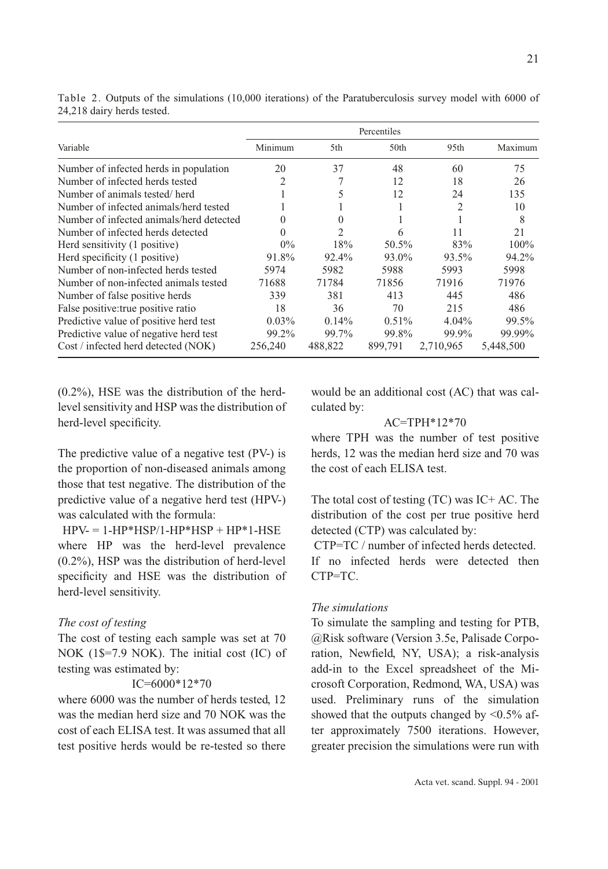|                                          | Percentiles |                |          |           |           |  |
|------------------------------------------|-------------|----------------|----------|-----------|-----------|--|
| Variable                                 | Minimum     | 5th            | 50th     | 95th      | Maximum   |  |
| Number of infected herds in population   | 20          | 37             | 48       | 60        | 75        |  |
| Number of infected herds tested          | 2           |                | 12       | 18        | 26        |  |
| Number of animals tested/herd            |             | 5              | 12       | 24        | 135       |  |
| Number of infected animals/herd tested   |             |                |          | 2         | 10        |  |
| Number of infected animals/herd detected | 0           | 0              |          |           | 8         |  |
| Number of infected herds detected        | 0           | $\mathfrak{D}$ | 6        | 11        | 21        |  |
| Herd sensitivity (1 positive)            | $0\%$       | 18%            | 50.5%    | 83%       | $100\%$   |  |
| Herd specificity (1 positive)            | 91.8%       | 92.4%          | 93.0%    | 93.5%     | 94.2%     |  |
| Number of non-infected herds tested      | 5974        | 5982           | 5988     | 5993      | 5998      |  |
| Number of non-infected animals tested    | 71688       | 71784          | 71856    | 71916     | 71976     |  |
| Number of false positive herds           | 339         | 381            | 413      | 445       | 486       |  |
| False positive: true positive ratio      | 18          | 36             | 70       | 215       | 486       |  |
| Predictive value of positive herd test   | $0.03\%$    | 0.14%          | $0.51\%$ | $4.04\%$  | 99.5%     |  |
| Predictive value of negative herd test   | 99.2%       | 99.7%          | 99.8%    | 99.9%     | 99.99%    |  |
| Cost / infected herd detected (NOK)      | 256,240     | 488,822        | 899,791  | 2,710,965 | 5,448,500 |  |

Table 2. Outputs of the simulations (10,000 iterations) of the Paratuberculosis survey model with 6000 of 24,218 dairy herds tested.

(0.2%), HSE was the distribution of the herdlevel sensitivity and HSP was the distribution of herd-level specificity.

The predictive value of a negative test (PV-) is the proportion of non-diseased animals among those that test negative. The distribution of the predictive value of a negative herd test (HPV-) was calculated with the formula:

 $HPV = 1-HP*HSP/1-HP*HSP + HP*1-HSE$ where HP was the herd-level prevalence (0.2%), HSP was the distribution of herd-level specificity and HSE was the distribution of herd-level sensitivity.

#### *The cost of testing*

The cost of testing each sample was set at 70 NOK (1\$=7.9 NOK). The initial cost (IC) of testing was estimated by:

# IC=6000\*12\*70

where 6000 was the number of herds tested, 12 was the median herd size and 70 NOK was the cost of each ELISA test. It was assumed that all test positive herds would be re-tested so there would be an additional cost (AC) that was calculated by:

#### AC=TPH\*12\*70

where TPH was the number of test positive herds, 12 was the median herd size and 70 was the cost of each ELISA test.

The total cost of testing (TC) was IC+ AC. The distribution of the cost per true positive herd detected (CTP) was calculated by:

CTP=TC / number of infected herds detected. If no infected herds were detected then

#### *The simulations*

CTP=TC.

To simulate the sampling and testing for PTB, @Risk software (Version 3.5e, Palisade Corporation, Newfield, NY, USA); a risk-analysis add-in to the Excel spreadsheet of the Microsoft Corporation, Redmond, WA, USA) was used. Preliminary runs of the simulation showed that the outputs changed by  $\leq 0.5\%$  after approximately 7500 iterations. However, greater precision the simulations were run with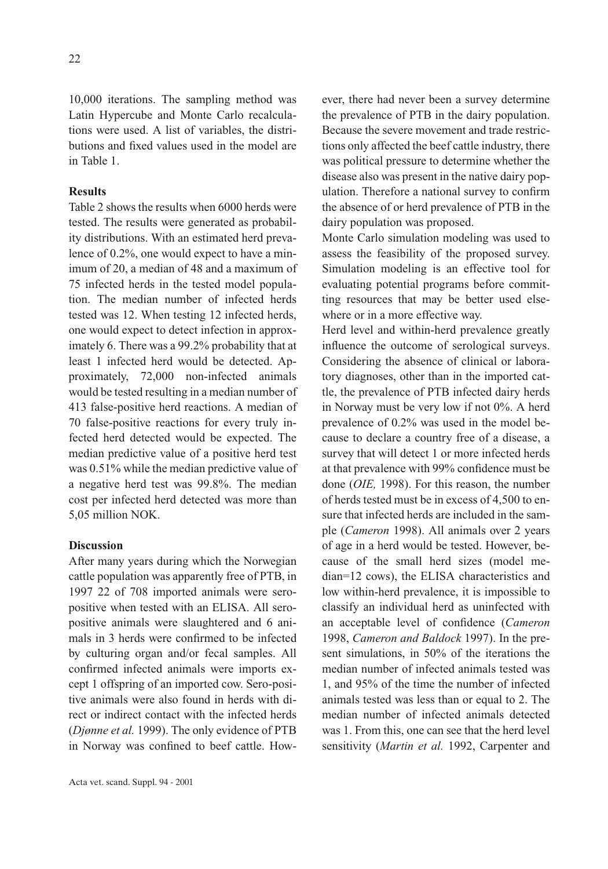10,000 iterations. The sampling method was Latin Hypercube and Monte Carlo recalculations were used. A list of variables, the distributions and fixed values used in the model are in Table 1.

# **Results**

Table 2 shows the results when 6000 herds were tested. The results were generated as probability distributions. With an estimated herd prevalence of 0.2%, one would expect to have a minimum of 20, a median of 48 and a maximum of 75 infected herds in the tested model population. The median number of infected herds tested was 12. When testing 12 infected herds, one would expect to detect infection in approximately 6. There was a 99.2% probability that at least 1 infected herd would be detected. Approximately, 72,000 non-infected animals would be tested resulting in a median number of 413 false-positive herd reactions. A median of 70 false-positive reactions for every truly infected herd detected would be expected. The median predictive value of a positive herd test was 0.51% while the median predictive value of a negative herd test was 99.8%. The median cost per infected herd detected was more than 5,05 million NOK.

### **Discussion**

After many years during which the Norwegian cattle population was apparently free of PTB, in 1997 22 of 708 imported animals were seropositive when tested with an ELISA. All seropositive animals were slaughtered and 6 animals in 3 herds were confirmed to be infected by culturing organ and/or fecal samples. All confirmed infected animals were imports except 1 offspring of an imported cow. Sero-positive animals were also found in herds with direct or indirect contact with the infected herds (*Djønne et al.* 1999). The only evidence of PTB in Norway was confined to beef cattle. However, there had never been a survey determine the prevalence of PTB in the dairy population. Because the severe movement and trade restrictions only affected the beef cattle industry, there was political pressure to determine whether the disease also was present in the native dairy population. Therefore a national survey to confirm the absence of or herd prevalence of PTB in the dairy population was proposed.

Monte Carlo simulation modeling was used to assess the feasibility of the proposed survey. Simulation modeling is an effective tool for evaluating potential programs before committing resources that may be better used elsewhere or in a more effective way.

Herd level and within-herd prevalence greatly influence the outcome of serological surveys. Considering the absence of clinical or laboratory diagnoses, other than in the imported cattle, the prevalence of PTB infected dairy herds in Norway must be very low if not 0%. A herd prevalence of 0.2% was used in the model because to declare a country free of a disease, a survey that will detect 1 or more infected herds at that prevalence with 99% confidence must be done (*OIE,* 1998). For this reason, the number of herds tested must be in excess of 4,500 to ensure that infected herds are included in the sample (*Cameron* 1998). All animals over 2 years of age in a herd would be tested. However, because of the small herd sizes (model median=12 cows), the ELISA characteristics and low within-herd prevalence, it is impossible to classify an individual herd as uninfected with an acceptable level of confidence (*Cameron* 1998, *Cameron and Baldock* 1997). In the present simulations, in 50% of the iterations the median number of infected animals tested was 1, and 95% of the time the number of infected animals tested was less than or equal to 2. The median number of infected animals detected was 1. From this, one can see that the herd level sensitivity (*Martin et al.* 1992, Carpenter and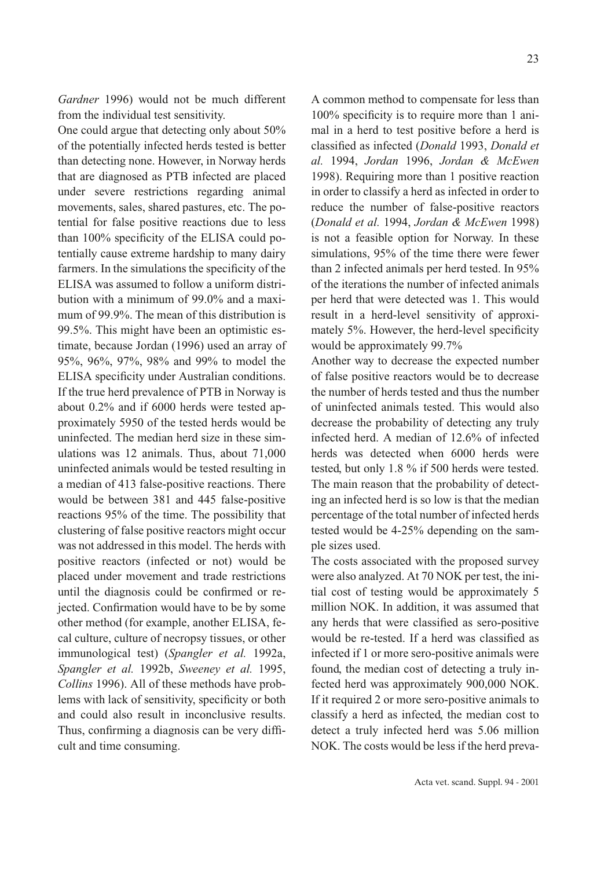*Gardner* 1996) would not be much different from the individual test sensitivity.

One could argue that detecting only about 50% of the potentially infected herds tested is better than detecting none. However, in Norway herds that are diagnosed as PTB infected are placed under severe restrictions regarding animal movements, sales, shared pastures, etc. The potential for false positive reactions due to less than 100% specificity of the ELISA could potentially cause extreme hardship to many dairy farmers. In the simulations the specificity of the ELISA was assumed to follow a uniform distribution with a minimum of 99.0% and a maximum of 99.9%. The mean of this distribution is 99.5%. This might have been an optimistic estimate, because Jordan (1996) used an array of 95%, 96%, 97%, 98% and 99% to model the ELISA specificity under Australian conditions. If the true herd prevalence of PTB in Norway is about 0.2% and if 6000 herds were tested approximately 5950 of the tested herds would be uninfected. The median herd size in these simulations was 12 animals. Thus, about 71,000 uninfected animals would be tested resulting in a median of 413 false-positive reactions. There would be between 381 and 445 false-positive reactions 95% of the time. The possibility that clustering of false positive reactors might occur was not addressed in this model. The herds with positive reactors (infected or not) would be placed under movement and trade restrictions until the diagnosis could be confirmed or rejected. Confirmation would have to be by some other method (for example, another ELISA, fecal culture, culture of necropsy tissues, or other immunological test) (*Spangler et al.* 1992a, *Spangler et al.* 1992b, *Sweeney et al.* 1995, *Collins* 1996). All of these methods have problems with lack of sensitivity, specificity or both and could also result in inconclusive results. Thus, confirming a diagnosis can be very difficult and time consuming.

A common method to compensate for less than 100% specificity is to require more than 1 animal in a herd to test positive before a herd is classified as infected (*Donald* 1993, *Donald et al.* 1994, *Jordan* 1996, *Jordan & McEwen* 1998). Requiring more than 1 positive reaction in order to classify a herd as infected in order to reduce the number of false-positive reactors (*Donald et al.* 1994, *Jordan & McEwen* 1998) is not a feasible option for Norway. In these simulations, 95% of the time there were fewer than 2 infected animals per herd tested. In 95% of the iterations the number of infected animals per herd that were detected was 1. This would result in a herd-level sensitivity of approximately 5%. However, the herd-level specificity would be approximately 99.7%

Another way to decrease the expected number of false positive reactors would be to decrease the number of herds tested and thus the number of uninfected animals tested. This would also decrease the probability of detecting any truly infected herd. A median of 12.6% of infected herds was detected when 6000 herds were tested, but only 1.8 % if 500 herds were tested. The main reason that the probability of detecting an infected herd is so low is that the median percentage of the total number of infected herds tested would be 4-25% depending on the sample sizes used.

The costs associated with the proposed survey were also analyzed. At 70 NOK per test, the initial cost of testing would be approximately 5 million NOK. In addition, it was assumed that any herds that were classified as sero-positive would be re-tested. If a herd was classified as infected if 1 or more sero-positive animals were found, the median cost of detecting a truly infected herd was approximately 900,000 NOK. If it required 2 or more sero-positive animals to classify a herd as infected, the median cost to detect a truly infected herd was 5.06 million NOK. The costs would be less if the herd preva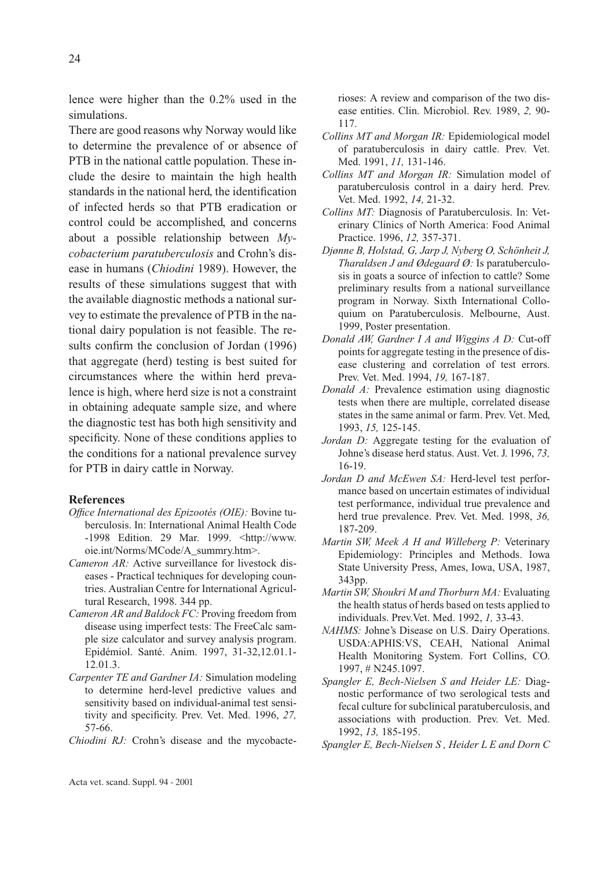lence were higher than the 0.2% used in the simulations.

There are good reasons why Norway would like to determine the prevalence of or absence of PTB in the national cattle population. These include the desire to maintain the high health standards in the national herd, the identification of infected herds so that PTB eradication or control could be accomplished, and concerns about a possible relationship between *Mycobacterium paratuberculosis* and Crohn's disease in humans (*Chiodini* 1989). However, the results of these simulations suggest that with the available diagnostic methods a national survey to estimate the prevalence of PTB in the national dairy population is not feasible. The results confirm the conclusion of Jordan (1996) that aggregate (herd) testing is best suited for circumstances where the within herd prevalence is high, where herd size is not a constraint in obtaining adequate sample size, and where the diagnostic test has both high sensitivity and specificity. None of these conditions applies to the conditions for a national prevalence survey for PTB in dairy cattle in Norway.

# **References**

- *Office International des Epizootés (OIE):* Bovine tuberculosis. In: International Animal Health Code -1998 Edition. 29 Mar. 1999. <http://www. oie.int/Norms/MCode/A\_summry.htm>.
- *Cameron AR:* Active surveillance for livestock diseases - Practical techniques for developing countries. Australian Centre for International Agricultural Research, 1998. 344 pp.
- *Cameron AR and Baldock FC:* Proving freedom from disease using imperfect tests: The FreeCalc sample size calculator and survey analysis program. Epidémiol. Santé. Anim. 1997, 31-32,12.01.1- 12.01.3.
- *Carpenter TE and Gardner IA:* Simulation modeling to determine herd-level predictive values and sensitivity based on individual-animal test sensitivity and specificity. Prev. Vet. Med. 1996, *27,* 57-66.
- *Chiodini RJ:* Crohn's disease and the mycobacte-

rioses: A review and comparison of the two disease entities. Clin. Microbiol. Rev. 1989, *2,* 90- 117.

- *Collins MT and Morgan IR:* Epidemiological model of paratuberculosis in dairy cattle. Prev. Vet. Med. 1991, *11,* 131-146.
- *Collins MT and Morgan IR:* Simulation model of paratuberculosis control in a dairy herd. Prev. Vet. Med. 1992, *14,* 21-32.
- *Collins MT:* Diagnosis of Paratuberculosis. In: Veterinary Clinics of North America: Food Animal Practice. 1996, *12,* 357-371.
- *Djønne B, Holstad, G, Jarp J, Nyberg O, Schönheit J, Tharaldsen J and Ødegaard Ø:* Is paratuberculosis in goats a source of infection to cattle? Some preliminary results from a national surveillance program in Norway. Sixth International Colloquium on Paratuberculosis. Melbourne, Aust. 1999, Poster presentation.
- *Donald AW, Gardner I A and Wiggins A D:* Cut-off points for aggregate testing in the presence of disease clustering and correlation of test errors. Prev. Vet. Med. 1994, *19,* 167-187.
- *Donald A:* Prevalence estimation using diagnostic tests when there are multiple, correlated disease states in the same animal or farm. Prev. Vet. Med, 1993, *15,* 125-145.
- *Jordan D:* Aggregate testing for the evaluation of Johne's disease herd status. Aust. Vet. J. 1996, *73,* 16-19.
- *Jordan D and McEwen SA:* Herd-level test performance based on uncertain estimates of individual test performance, individual true prevalence and herd true prevalence. Prev. Vet. Med. 1998, *36,* 187-209.
- *Martin SW, Meek A H and Willeberg P:* Veterinary Epidemiology: Principles and Methods. Iowa State University Press, Ames, Iowa, USA, 1987, 343pp.
- *Martin SW, Shoukri M and Thorburn MA:* Evaluating the health status of herds based on tests applied to individuals. Prev.Vet. Med. 1992, *1,* 33-43.
- *NAHMS:* Johne's Disease on U.S. Dairy Operations. USDA:APHIS:VS, CEAH, National Animal Health Monitoring System. Fort Collins, CO. 1997, # N245.1097.
- *Spangler E, Bech-Nielsen S and Heider LE:* Diagnostic performance of two serological tests and fecal culture for subclinical paratuberculosis, and associations with production. Prev. Vet. Med. 1992, *13,* 185-195.
- *Spangler E, Bech-Nielsen S , Heider L E and Dorn C*